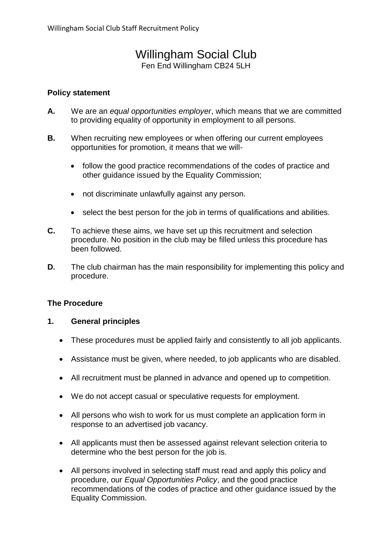# Willingham Social Club

Fen End Willingham CB24 5LH

## **Policy statement**

- **A.** We are an *equal opportunities employer*, which means that we are committed to providing equality of opportunity in employment to all persons.
- **B.** When recruiting new employees or when offering our current employees opportunities for promotion, it means that we will-
	- follow the good practice recommendations of the codes of practice and other guidance issued by the Equality Commission;
	- not discriminate unlawfully against any person.
	- select the best person for the job in terms of qualifications and abilities.
- **C.** To achieve these aims, we have set up this recruitment and selection procedure. No position in the club may be filled unless this procedure has been followed.
- **D.** The club chairman has the main responsibility for implementing this policy and procedure.

### **The Procedure**

### **1. General principles**

- These procedures must be applied fairly and consistently to all job applicants.
- Assistance must be given, where needed, to job applicants who are disabled.
- All recruitment must be planned in advance and opened up to competition.
- We do not accept casual or speculative requests for employment.
- All persons who wish to work for us must complete an application form in response to an advertised job vacancy.
- All applicants must then be assessed against relevant selection criteria to determine who the best person for the job is.
- All persons involved in selecting staff must read and apply this policy and procedure, our *Equal Opportunities Policy*, and the good practice recommendations of the codes of practice and other guidance issued by the Equality Commission.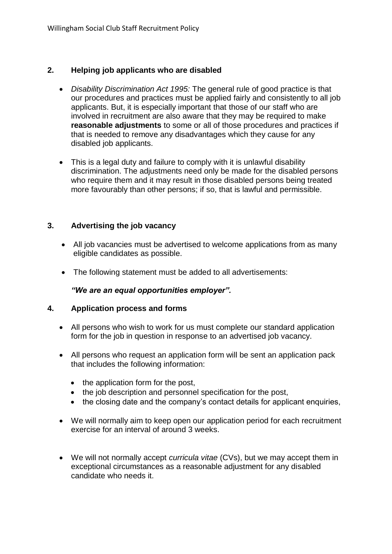## **2. Helping job applicants who are disabled**

- *Disability Discrimination Act 1995:* The general rule of good practice is that our procedures and practices must be applied fairly and consistently to all job applicants. But, it is especially important that those of our staff who are involved in recruitment are also aware that they may be required to make **reasonable adjustments** to some or all of those procedures and practices if that is needed to remove any disadvantages which they cause for any disabled job applicants.
- This is a legal duty and failure to comply with it is unlawful disability discrimination. The adjustments need only be made for the disabled persons who require them and it may result in those disabled persons being treated more favourably than other persons; if so, that is lawful and permissible.

## **3. Advertising the job vacancy**

- All job vacancies must be advertised to welcome applications from as many eligible candidates as possible.
- The following statement must be added to all advertisements:

*"We are an equal opportunities employer".*

### **4. Application process and forms**

- All persons who wish to work for us must complete our standard application form for the job in question in response to an advertised job vacancy.
- All persons who request an application form will be sent an application pack that includes the following information:
	- the application form for the post,
	- the job description and personnel specification for the post,
	- the closing date and the company's contact details for applicant enquiries,
- We will normally aim to keep open our application period for each recruitment exercise for an interval of around 3 weeks.
- We will not normally accept *curricula vitae* (CVs), but we may accept them in exceptional circumstances as a reasonable adjustment for any disabled candidate who needs it.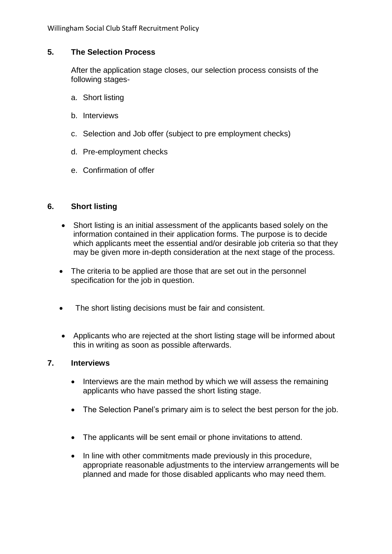## **5. The Selection Process**

After the application stage closes, our selection process consists of the following stages-

- a. Short listing
- b. Interviews
- c. Selection and Job offer (subject to pre employment checks)
- d. Pre-employment checks
- e. Confirmation of offer

## **6. Short listing**

- Short listing is an initial assessment of the applicants based solely on the information contained in their application forms. The purpose is to decide which applicants meet the essential and/or desirable job criteria so that they may be given more in-depth consideration at the next stage of the process.
- The criteria to be applied are those that are set out in the personnel specification for the job in question.
- The short listing decisions must be fair and consistent.
- Applicants who are rejected at the short listing stage will be informed about this in writing as soon as possible afterwards.

### **7. Interviews**

- Interviews are the main method by which we will assess the remaining applicants who have passed the short listing stage.
- The Selection Panel's primary aim is to select the best person for the job.
- The applicants will be sent email or phone invitations to attend.
- In line with other commitments made previously in this procedure, appropriate reasonable adjustments to the interview arrangements will be planned and made for those disabled applicants who may need them.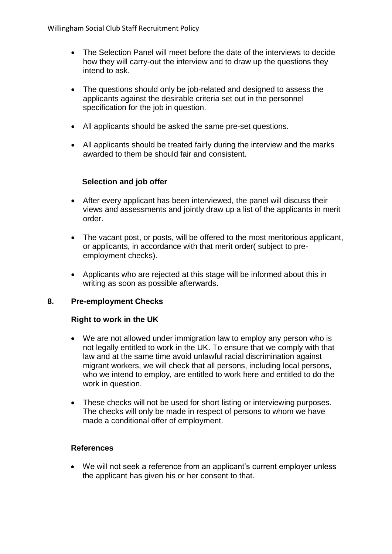- The Selection Panel will meet before the date of the interviews to decide how they will carry-out the interview and to draw up the questions they intend to ask.
- The questions should only be job-related and designed to assess the applicants against the desirable criteria set out in the personnel specification for the job in question.
- All applicants should be asked the same pre-set questions.
- All applicants should be treated fairly during the interview and the marks awarded to them be should fair and consistent.

# **Selection and job offer**

- After every applicant has been interviewed, the panel will discuss their views and assessments and jointly draw up a list of the applicants in merit order.
- The vacant post, or posts, will be offered to the most meritorious applicant, or applicants, in accordance with that merit order( subject to preemployment checks).
- Applicants who are rejected at this stage will be informed about this in writing as soon as possible afterwards.

# **8. Pre-employment Checks**

### **Right to work in the UK**

- We are not allowed under immigration law to employ any person who is not legally entitled to work in the UK. To ensure that we comply with that law and at the same time avoid unlawful racial discrimination against migrant workers, we will check that all persons, including local persons, who we intend to employ, are entitled to work here and entitled to do the work in question.
- These checks will not be used for short listing or interviewing purposes. The checks will only be made in respect of persons to whom we have made a conditional offer of employment.

### **References**

• We will not seek a reference from an applicant's current employer unless the applicant has given his or her consent to that.